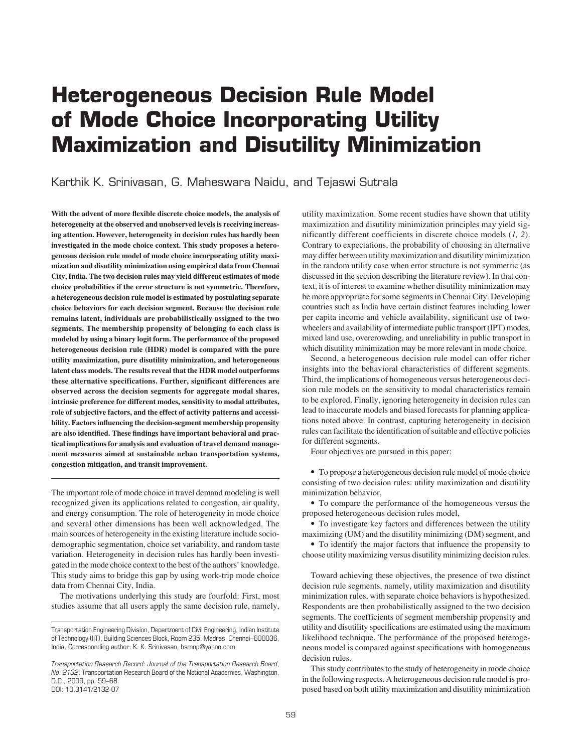# **Heterogeneous Decision Rule Model of Mode Choice Incorporating Utility Maximization and Disutility Minimization**

Karthik K. Srinivasan, G. Maheswara Naidu, and Tejaswi Sutrala

**With the advent of more flexible discrete choice models, the analysis of heterogeneity at the observed and unobserved levels is receiving increasing attention. However, heterogeneity in decision rules has hardly been investigated in the mode choice context. This study proposes a heterogeneous decision rule model of mode choice incorporating utility maximization and disutility minimization using empirical data from Chennai City, India. The two decision rules may yield different estimates of mode choice probabilities if the error structure is not symmetric. Therefore, a heterogeneous decision rule model is estimated by postulating separate choice behaviors for each decision segment. Because the decision rule remains latent, individuals are probabilistically assigned to the two segments. The membership propensity of belonging to each class is modeled by using a binary logit form. The performance of the proposed heterogeneous decision rule (HDR) model is compared with the pure utility maximization, pure disutility minimization, and heterogeneous latent class models. The results reveal that the HDR model outperforms these alternative specifications. Further, significant differences are observed across the decision segments for aggregate modal shares, intrinsic preference for different modes, sensitivity to modal attributes, role of subjective factors, and the effect of activity patterns and accessibility. Factors influencing the decision-segment membership propensity are also identified. These findings have important behavioral and practical implications for analysis and evaluation of travel demand management measures aimed at sustainable urban transportation systems, congestion mitigation, and transit improvement.**

The important role of mode choice in travel demand modeling is well recognized given its applications related to congestion, air quality, and energy consumption. The role of heterogeneity in mode choice and several other dimensions has been well acknowledged. The main sources of heterogeneity in the existing literature include sociodemographic segmentation, choice set variability, and random taste variation. Heterogeneity in decision rules has hardly been investigated in the mode choice context to the best of the authors' knowledge. This study aims to bridge this gap by using work-trip mode choice data from Chennai City, India.

The motivations underlying this study are fourfold: First, most studies assume that all users apply the same decision rule, namely,

utility maximization. Some recent studies have shown that utility maximization and disutility minimization principles may yield significantly different coefficients in discrete choice models (*1, 2*). Contrary to expectations, the probability of choosing an alternative may differ between utility maximization and disutility minimization in the random utility case when error structure is not symmetric (as discussed in the section describing the literature review). In that context, it is of interest to examine whether disutility minimization may be more appropriate for some segments in Chennai City. Developing countries such as India have certain distinct features including lower per capita income and vehicle availability, significant use of twowheelers and availability of intermediate public transport (IPT) modes, mixed land use, overcrowding, and unreliability in public transport in which disutility minimization may be more relevant in mode choice.

Second, a heterogeneous decision rule model can offer richer insights into the behavioral characteristics of different segments. Third, the implications of homogeneous versus heterogeneous decision rule models on the sensitivity to modal characteristics remain to be explored. Finally, ignoring heterogeneity in decision rules can lead to inaccurate models and biased forecasts for planning applications noted above. In contrast, capturing heterogeneity in decision rules can facilitate the identification of suitable and effective policies for different segments.

Four objectives are pursued in this paper:

• To propose a heterogeneous decision rule model of mode choice consisting of two decision rules: utility maximization and disutility minimization behavior,

• To compare the performance of the homogeneous versus the proposed heterogeneous decision rules model,

• To investigate key factors and differences between the utility maximizing (UM) and the disutility minimizing (DM) segment, and

• To identify the major factors that influence the propensity to choose utility maximizing versus disutility minimizing decision rules.

Toward achieving these objectives, the presence of two distinct decision rule segments, namely, utility maximization and disutility minimization rules, with separate choice behaviors is hypothesized. Respondents are then probabilistically assigned to the two decision segments. The coefficients of segment membership propensity and utility and disutility specifications are estimated using the maximum likelihood technique. The performance of the proposed heterogeneous model is compared against specifications with homogeneous decision rules.

This study contributes to the study of heterogeneity in mode choice in the following respects. A heterogeneous decision rule model is proposed based on both utility maximization and disutility minimization

Transportation Engineering Division, Department of Civil Engineering, Indian Institute of Technology (IIT), Building Sciences Block, Room 235, Madras, Chennai–600036, India. Corresponding author: K. K. Srinivasan, hsmnp@yahoo.com.

*Transportation Research Record: Journal of the Transportation Research Board, No. 2132,* Transportation Research Board of the National Academies, Washington, D.C., 2009, pp. 59–68. DOI: 10.3141/2132-07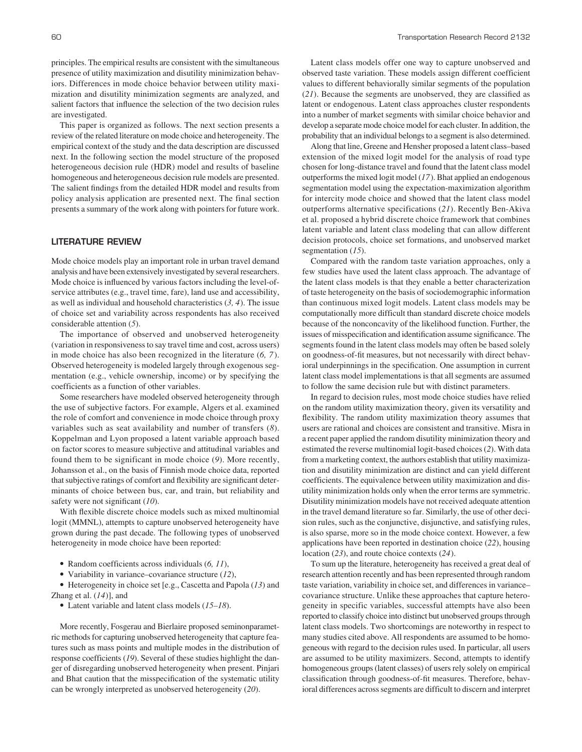principles. The empirical results are consistent with the simultaneous presence of utility maximization and disutility minimization behaviors. Differences in mode choice behavior between utility maximization and disutility minimization segments are analyzed, and salient factors that influence the selection of the two decision rules are investigated.

This paper is organized as follows. The next section presents a review of the related literature on mode choice and heterogeneity. The empirical context of the study and the data description are discussed next. In the following section the model structure of the proposed heterogeneous decision rule (HDR) model and results of baseline homogeneous and heterogeneous decision rule models are presented. The salient findings from the detailed HDR model and results from policy analysis application are presented next. The final section presents a summary of the work along with pointers for future work.

# LITERATURE REVIEW

Mode choice models play an important role in urban travel demand analysis and have been extensively investigated by several researchers. Mode choice is influenced by various factors including the level-ofservice attributes (e.g., travel time, fare), land use and accessibility, as well as individual and household characteristics (*3, 4*). The issue of choice set and variability across respondents has also received considerable attention (*5*).

The importance of observed and unobserved heterogeneity (variation in responsiveness to say travel time and cost, across users) in mode choice has also been recognized in the literature (*6, 7*). Observed heterogeneity is modeled largely through exogenous segmentation (e.g., vehicle ownership, income) or by specifying the coefficients as a function of other variables.

Some researchers have modeled observed heterogeneity through the use of subjective factors. For example, Algers et al. examined the role of comfort and convenience in mode choice through proxy variables such as seat availability and number of transfers (*8*). Koppelman and Lyon proposed a latent variable approach based on factor scores to measure subjective and attitudinal variables and found them to be significant in mode choice (*9*). More recently, Johansson et al., on the basis of Finnish mode choice data, reported that subjective ratings of comfort and flexibility are significant determinants of choice between bus, car, and train, but reliability and safety were not significant (*10*).

With flexible discrete choice models such as mixed multinomial logit (MMNL), attempts to capture unobserved heterogeneity have grown during the past decade. The following types of unobserved heterogeneity in mode choice have been reported:

- Random coefficients across individuals (*6, 11*),
- Variability in variance–covariance structure (*12*),

• Heterogeneity in choice set [e.g., Cascetta and Papola (*13*) and Zhang et al. (*14*)], and

• Latent variable and latent class models (*15–18*).

More recently, Fosgerau and Bierlaire proposed seminonparametric methods for capturing unobserved heterogeneity that capture features such as mass points and multiple modes in the distribution of response coefficients (*19*). Several of these studies highlight the danger of disregarding unobserved heterogeneity when present. Pinjari and Bhat caution that the misspecification of the systematic utility can be wrongly interpreted as unobserved heterogeneity (*20*).

Latent class models offer one way to capture unobserved and observed taste variation. These models assign different coefficient values to different behaviorally similar segments of the population (*21*). Because the segments are unobserved, they are classified as latent or endogenous. Latent class approaches cluster respondents into a number of market segments with similar choice behavior and develop a separate mode choice model for each cluster. In addition, the probability that an individual belongs to a segment is also determined.

Along that line, Greene and Hensher proposed a latent class–based extension of the mixed logit model for the analysis of road type chosen for long-distance travel and found that the latent class model outperforms the mixed logit model (*17*). Bhat applied an endogenous segmentation model using the expectation-maximization algorithm for intercity mode choice and showed that the latent class model outperforms alternative specifications (*21*). Recently Ben-Akiva et al. proposed a hybrid discrete choice framework that combines latent variable and latent class modeling that can allow different decision protocols, choice set formations, and unobserved market segmentation (*15*).

Compared with the random taste variation approaches, only a few studies have used the latent class approach. The advantage of the latent class models is that they enable a better characterization of taste heterogeneity on the basis of sociodemographic information than continuous mixed logit models. Latent class models may be computationally more difficult than standard discrete choice models because of the nonconcavity of the likelihood function. Further, the issues of misspecification and identification assume significance. The segments found in the latent class models may often be based solely on goodness-of-fit measures, but not necessarily with direct behavioral underpinnings in the specification. One assumption in current latent class model implementations is that all segments are assumed to follow the same decision rule but with distinct parameters.

In regard to decision rules, most mode choice studies have relied on the random utility maximization theory, given its versatility and flexibility. The random utility maximization theory assumes that users are rational and choices are consistent and transitive. Misra in a recent paper applied the random disutility minimization theory and estimated the reverse multinomial logit-based choices (*2*). With data from a marketing context, the authors establish that utility maximization and disutility minimization are distinct and can yield different coefficients. The equivalence between utility maximization and disutility minimization holds only when the error terms are symmetric. Disutility minimization models have not received adequate attention in the travel demand literature so far. Similarly, the use of other decision rules, such as the conjunctive, disjunctive, and satisfying rules, is also sparse, more so in the mode choice context. However, a few applications have been reported in destination choice (*22*), housing location (*23*), and route choice contexts (*24*).

To sum up the literature, heterogeneity has received a great deal of research attention recently and has been represented through random taste variation, variability in choice set, and differences in variance– covariance structure. Unlike these approaches that capture heterogeneity in specific variables, successful attempts have also been reported to classify choice into distinct but unobserved groups through latent class models. Two shortcomings are noteworthy in respect to many studies cited above. All respondents are assumed to be homogeneous with regard to the decision rules used. In particular, all users are assumed to be utility maximizers. Second, attempts to identify homogeneous groups (latent classes) of users rely solely on empirical classification through goodness-of-fit measures. Therefore, behavioral differences across segments are difficult to discern and interpret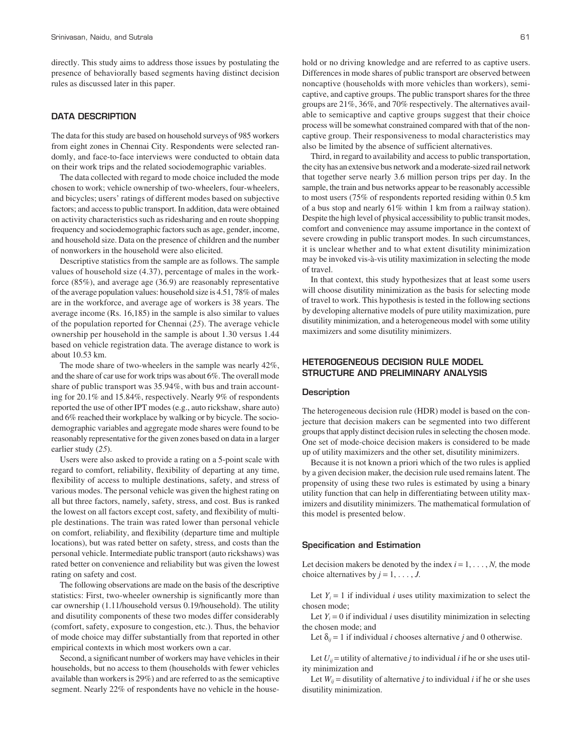directly. This study aims to address those issues by postulating the presence of behaviorally based segments having distinct decision rules as discussed later in this paper.

# DATA DESCRIPTION

The data for this study are based on household surveys of 985 workers from eight zones in Chennai City. Respondents were selected randomly, and face-to-face interviews were conducted to obtain data on their work trips and the related sociodemographic variables.

The data collected with regard to mode choice included the mode chosen to work; vehicle ownership of two-wheelers, four-wheelers, and bicycles; users' ratings of different modes based on subjective factors; and access to public transport. In addition, data were obtained on activity characteristics such as ridesharing and en route shopping frequency and sociodemographic factors such as age, gender, income, and household size. Data on the presence of children and the number of nonworkers in the household were also elicited.

Descriptive statistics from the sample are as follows. The sample values of household size (4.37), percentage of males in the workforce (85%), and average age (36.9) are reasonably representative of the average population values: household size is 4.51, 78% of males are in the workforce, and average age of workers is 38 years. The average income (Rs. 16,185) in the sample is also similar to values of the population reported for Chennai (*25*). The average vehicle ownership per household in the sample is about 1.30 versus 1.44 based on vehicle registration data. The average distance to work is about 10.53 km.

The mode share of two-wheelers in the sample was nearly 42%, and the share of car use for work trips was about 6%. The overall mode share of public transport was 35.94%, with bus and train accounting for 20.1% and 15.84%, respectively. Nearly 9% of respondents reported the use of other IPT modes (e.g., auto rickshaw, share auto) and 6% reached their workplace by walking or by bicycle. The sociodemographic variables and aggregate mode shares were found to be reasonably representative for the given zones based on data in a larger earlier study (*25*).

Users were also asked to provide a rating on a 5-point scale with regard to comfort, reliability, flexibility of departing at any time, flexibility of access to multiple destinations, safety, and stress of various modes. The personal vehicle was given the highest rating on all but three factors, namely, safety, stress, and cost. Bus is ranked the lowest on all factors except cost, safety, and flexibility of multiple destinations. The train was rated lower than personal vehicle on comfort, reliability, and flexibility (departure time and multiple locations), but was rated better on safety, stress, and costs than the personal vehicle. Intermediate public transport (auto rickshaws) was rated better on convenience and reliability but was given the lowest rating on safety and cost.

The following observations are made on the basis of the descriptive statistics: First, two-wheeler ownership is significantly more than car ownership (1.11/household versus 0.19/household). The utility and disutility components of these two modes differ considerably (comfort, safety, exposure to congestion, etc.). Thus, the behavior of mode choice may differ substantially from that reported in other empirical contexts in which most workers own a car.

Second, a significant number of workers may have vehicles in their households, but no access to them (households with fewer vehicles available than workers is 29%) and are referred to as the semicaptive segment. Nearly 22% of respondents have no vehicle in the household or no driving knowledge and are referred to as captive users. Differences in mode shares of public transport are observed between noncaptive (households with more vehicles than workers), semicaptive, and captive groups. The public transport shares for the three groups are 21%, 36%, and 70% respectively. The alternatives available to semicaptive and captive groups suggest that their choice process will be somewhat constrained compared with that of the noncaptive group. Their responsiveness to modal characteristics may also be limited by the absence of sufficient alternatives.

Third, in regard to availability and access to public transportation, the city has an extensive bus network and a moderate-sized rail network that together serve nearly 3.6 million person trips per day. In the sample, the train and bus networks appear to be reasonably accessible to most users (75% of respondents reported residing within 0.5 km of a bus stop and nearly 61% within 1 km from a railway station). Despite the high level of physical accessibility to public transit modes, comfort and convenience may assume importance in the context of severe crowding in public transport modes. In such circumstances, it is unclear whether and to what extent disutility minimization may be invoked vis-à-vis utility maximization in selecting the mode of travel.

In that context, this study hypothesizes that at least some users will choose disutility minimization as the basis for selecting mode of travel to work. This hypothesis is tested in the following sections by developing alternative models of pure utility maximization, pure disutility minimization, and a heterogeneous model with some utility maximizers and some disutility minimizers.

# HETEROGENEOUS DECISION RULE MODEL STRUCTURE AND PRELIMINARY ANALYSIS

### **Description**

The heterogeneous decision rule (HDR) model is based on the conjecture that decision makers can be segmented into two different groups that apply distinct decision rules in selecting the chosen mode. One set of mode-choice decision makers is considered to be made up of utility maximizers and the other set, disutility minimizers.

Because it is not known a priori which of the two rules is applied by a given decision maker, the decision rule used remains latent. The propensity of using these two rules is estimated by using a binary utility function that can help in differentiating between utility maximizers and disutility minimizers. The mathematical formulation of this model is presented below.

#### Specification and Estimation

Let decision makers be denoted by the index  $i = 1, \ldots, N$ , the mode choice alternatives by  $j = 1, \ldots, J$ .

Let  $Y_i = 1$  if individual *i* uses utility maximization to select the chosen mode;

Let  $Y_i = 0$  if individual *i* uses disutility minimization in selecting the chosen mode; and

Let  $\delta_{ij} = 1$  if individual *i* chooses alternative *j* and 0 otherwise.

Let  $U_{ij}$  = utility of alternative *j* to individual *i* if he or she uses utility minimization and

Let  $W_{ij}$  = disutility of alternative *j* to individual *i* if he or she uses disutility minimization.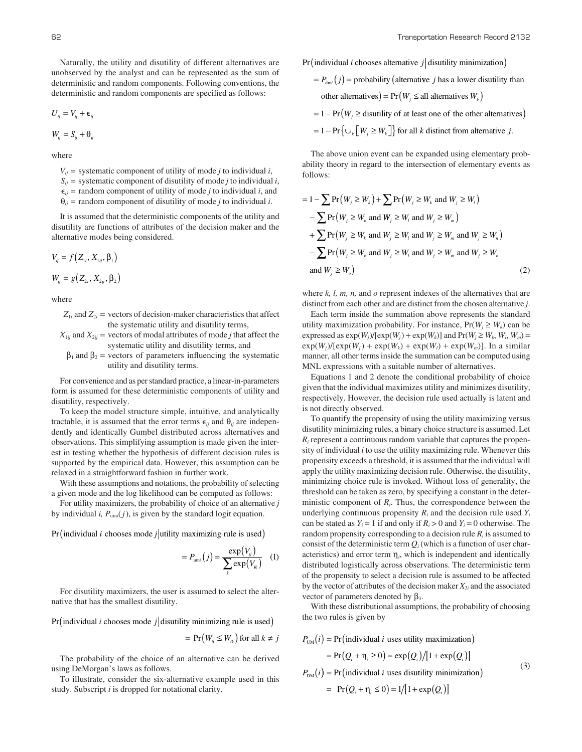Naturally, the utility and disutility of different alternatives are unobserved by the analyst and can be represented as the sum of deterministic and random components. Following conventions, the deterministic and random components are specified as follows:

$$
U_{ij}=V_{ij}+\boldsymbol{\epsilon}_{ij}
$$

$$
W_{ij}=S_{ij}+\Theta_{ij}
$$

where

 $V_{ii}$  = systematic component of utility of mode *j* to individual *i*,  $S_{ij}$  = systematic component of disutility of mode *j* to individual *i*,  $\epsilon_{ij}$  = random component of utility of mode *j* to individual *i*, and

 $\theta_{ij}$  = random component of disutility of mode *j* to individual *i*.

It is assumed that the deterministic components of the utility and disutility are functions of attributes of the decision maker and the alternative modes being considered.

$$
V_{ij} = f(Z_{1i}, X_{1ij}, \beta_1)
$$

$$
W_{ij}=g\big(Z_{2i},X_{2ij},\beta_2\big)
$$

where

 $Z_{1i}$  and  $Z_{2i}$  = vectors of decision-maker characteristics that affect the systematic utility and disutility terms,

 $X_{1ii}$  and  $X_{2ii}$  = vectors of modal attributes of mode *j* that affect the systematic utility and disutility terms, and

 $β_1$  and  $β_2$  = vectors of parameters influencing the systematic utility and disutility terms.

For convenience and as per standard practice, a linear-in-parameters form is assumed for these deterministic components of utility and disutility, respectively.

To keep the model structure simple, intuitive, and analytically tractable, it is assumed that the error terms  $\epsilon_{ij}$  and  $\theta_{ij}$  are independently and identically Gumbel distributed across alternatives and observations. This simplifying assumption is made given the interest in testing whether the hypothesis of different decision rules is supported by the empirical data. However, this assumption can be relaxed in a straightforward fashion in further work.

With these assumptions and notations, the probability of selecting a given mode and the log likelihood can be computed as follows:

For utility maximizers, the probability of choice of an alternative *j* by individual *i*,  $P_{\text{uni}}(j)$ , is given by the standard logit equation.

 $Pr(\text{individual } i \text{ chooses mode } j | \text{utility maximizing rule is used})$ 

$$
=P_{\text{univ}}(j) = \frac{\exp(V_{ij})}{\sum_{k} \exp(V_{ik})} \quad (1)
$$

For disutility maximizers, the user is assumed to select the alternative that has the smallest disutility.

 $Pr(\text{individual } i \text{ chooses mode } j | \text{disutility minimizing rule is used})$ 

$$
= \Pr(W_{ij} \le W_{ik}) \text{ for all } k \neq j
$$

The probability of the choice of an alternative can be derived using DeMorgan's laws as follows.

To illustrate, consider the six-alternative example used in this study. Subscript *i* is dropped for notational clarity.

- $Pr(\text{individual } i \text{ chooses alternative } j | \text{disutility minimization})$ 
	- $p = P_{\text{dm}i}(j)$  = probability (alternative *j* has a lower disutility than other alternatives) =  $Pr(W_j \leq all \text{ alternatives } W_k)$
	- $=1 \Pr(W_j \geq \text{disutility of at least one of the other alternatives})$
	- $= 1 \Pr\left\{\bigcup_k \left[W_j \geq W_k\right]\right\}$  for all k distinct from alternative j.

The above union event can be expanded using elementary probability theory in regard to the intersection of elementary events as follows:

$$
= 1 - \sum \Pr(W_j \ge W_k) + \sum \Pr(W_j \ge W_k \text{ and } W_j \ge W_l)
$$
  
- 
$$
\sum \Pr(W_j \ge W_k \text{ and } W_j \ge W_l \text{ and } W_j \ge W_m)
$$
  
+ 
$$
\sum \Pr(W_j \ge W_k \text{ and } W_j \ge W_l \text{ and } W_j \ge W_m \text{ and } W_j \ge W_l)
$$
  
- 
$$
\sum \Pr(W_j \ge W_k \text{ and } W_j \ge W_l \text{ and } W_j \ge W_m \text{ and } W_j \ge W_n
$$
  
and 
$$
W_j \ge W_o
$$
 (2)

where *k, l, m, n,* and *o* represent indexes of the alternatives that are distinct from each other and are distinct from the chosen alternative *j*.

Each term inside the summation above represents the standard utility maximization probability. For instance,  $Pr(W_i \geq W_k)$  can be expressed as  $\exp(W_j)/[\exp(W_j) + \exp(W_k)]$  and  $\Pr(W_j \ge W_k, W_j, W_m) =$  $\exp(W_i)/[\exp(W_i) + \exp(W_k) + \exp(W_i) + \exp(W_m)].$  In a similar manner, all other terms inside the summation can be computed using MNL expressions with a suitable number of alternatives.

Equations 1 and 2 denote the conditional probability of choice given that the individual maximizes utility and minimizes disutility, respectively. However, the decision rule used actually is latent and is not directly observed.

To quantify the propensity of using the utility maximizing versus disutility minimizing rules, a binary choice structure is assumed. Let  $R_i$  represent a continuous random variable that captures the propensity of individual *i* to use the utility maximizing rule. Whenever this propensity exceeds a threshold, it is assumed that the individual will apply the utility maximizing decision rule. Otherwise, the disutility, minimizing choice rule is invoked. Without loss of generality, the threshold can be taken as zero, by specifying a constant in the deterministic component of  $R_i$ . Thus, the correspondence between the underlying continuous propensity  $R_i$  and the decision rule used  $Y_i$ can be stated as  $Y_i = 1$  if and only if  $R_i > 0$  and  $Y_i = 0$  otherwise. The random propensity corresponding to a decision rule  $R_i$  is assumed to consist of the deterministic term  $Q_i$  (which is a function of user characteristics) and error term  $\eta_i$ , which is independent and identically distributed logistically across observations. The deterministic term of the propensity to select a decision rule is assumed to be affected by the vector of attributes of the decision maker  $X_{3i}$  and the associated vector of parameters denoted by  $\beta_3$ .

With these distributional assumptions, the probability of choosing the two rules is given by

$$
P_{\text{UM}}(i) = \Pr(\text{individual } i \text{ uses utility maximization})
$$
  
= 
$$
\Pr(Q_i + \eta_i \ge 0) = \exp(Q_i) / [1 + \exp(Q_i)]
$$
  

$$
P_{\text{DM}}(i) = \Pr(\text{individual } i \text{ uses distributivity minimization})
$$
  
= 
$$
\Pr(Q_i + \eta_i \le 0) = 1/[1 + \exp(Q_i)]
$$
 (3)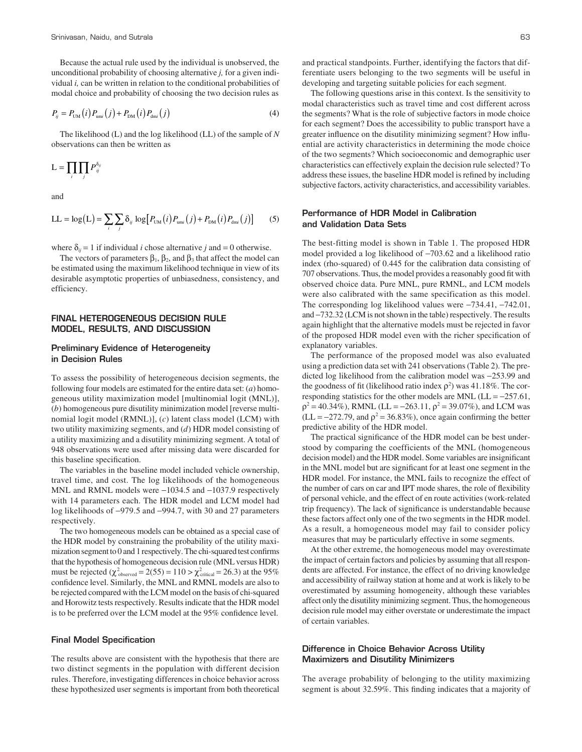Because the actual rule used by the individual is unobserved, the unconditional probability of choosing alternative *j,* for a given individual *i,* can be written in relation to the conditional probabilities of modal choice and probability of choosing the two decision rules as

$$
P_{ij} = P_{\text{UM}}(i) P_{\text{uni}}(j) + P_{\text{DM}}(i) P_{\text{dmi}}(j)
$$
(4)

The likelihood (L) and the log likelihood (LL) of the sample of *N* observations can then be written as

$$
L = \prod_i \prod_j P_{ij}^{\delta_{ij}}
$$

and

$$
LL = \log(L) = \sum_{i} \sum_{j} \delta_{ij} \log[P_{\text{UM}}(i) P_{\text{um}i}(j) + P_{\text{DM}}(i) P_{\text{dm}i}(j)] \tag{5}
$$

where  $\delta_{ii} = 1$  if individual *i* chose alternative *j* and = 0 otherwise.

The vectors of parameters  $\beta_1$ ,  $\beta_2$ , and  $\beta_3$  that affect the model can be estimated using the maximum likelihood technique in view of its desirable asymptotic properties of unbiasedness, consistency, and efficiency.

# FINAL HETEROGENEOUS DECISION RULE MODEL, RESULTS, AND DISCUSSION

## Preliminary Evidence of Heterogeneity in Decision Rules

To assess the possibility of heterogeneous decision segments, the following four models are estimated for the entire data set: (*a*) homogeneous utility maximization model [multinomial logit (MNL)], (*b*) homogeneous pure disutility minimization model [reverse multinomial logit model (RMNL)], (*c*) latent class model (LCM) with two utility maximizing segments, and (*d*) HDR model consisting of a utility maximizing and a disutility minimizing segment. A total of 948 observations were used after missing data were discarded for this baseline specification.

The variables in the baseline model included vehicle ownership, travel time, and cost. The log likelihoods of the homogeneous MNL and RMNL models were −1034.5 and −1037.9 respectively with 14 parameters each. The HDR model and LCM model had log likelihoods of −979.5 and −994.7, with 30 and 27 parameters respectively.

The two homogeneous models can be obtained as a special case of the HDR model by constraining the probability of the utility maximization segment to 0 and 1 respectively. The chi-squared test confirms that the hypothesis of homogeneous decision rule (MNL versus HDR) must be rejected ( $\chi^2_{observed} = 2(55) = 110 > \chi^2_{critical} = 26.3$ ) at the 95% confidence level. Similarly, the MNL and RMNL models are also to be rejected compared with the LCM model on the basis of chi-squared and Horowitz tests respectively. Results indicate that the HDR model is to be preferred over the LCM model at the 95% confidence level.

### Final Model Specification

The results above are consistent with the hypothesis that there are two distinct segments in the population with different decision rules. Therefore, investigating differences in choice behavior across these hypothesized user segments is important from both theoretical and practical standpoints. Further, identifying the factors that differentiate users belonging to the two segments will be useful in developing and targeting suitable policies for each segment.

The following questions arise in this context. Is the sensitivity to modal characteristics such as travel time and cost different across the segments? What is the role of subjective factors in mode choice for each segment? Does the accessibility to public transport have a greater influence on the disutility minimizing segment? How influential are activity characteristics in determining the mode choice of the two segments? Which socioeconomic and demographic user characteristics can effectively explain the decision rule selected? To address these issues, the baseline HDR model is refined by including subjective factors, activity characteristics, and accessibility variables.

## Performance of HDR Model in Calibration and Validation Data Sets

The best-fitting model is shown in Table 1. The proposed HDR model provided a log likelihood of −703.62 and a likelihood ratio index (rho-squared) of 0.445 for the calibration data consisting of 707 observations. Thus, the model provides a reasonably good fit with observed choice data. Pure MNL, pure RMNL, and LCM models were also calibrated with the same specification as this model. The corresponding log likelihood values were −734.41, −742.01, and −732.32 (LCM is not shown in the table) respectively. The results again highlight that the alternative models must be rejected in favor of the proposed HDR model even with the richer specification of explanatory variables.

The performance of the proposed model was also evaluated using a prediction data set with 241 observations (Table 2). The predicted log likelihood from the calibration model was −253.99 and the goodness of fit (likelihood ratio index  $\rho^2$ ) was 41.18%. The corresponding statistics for the other models are MNL (LL = −257.61,  $\rho^2 = 40.34\%$ ), RMNL (LL = -263.11,  $\rho^2 = 39.07\%$ ), and LCM was  $(LL = -272.79,$  and  $\rho^2 = 36.83\%)$ , once again confirming the better predictive ability of the HDR model.

The practical significance of the HDR model can be best understood by comparing the coefficients of the MNL (homogeneous decision model) and the HDR model. Some variables are insignificant in the MNL model but are significant for at least one segment in the HDR model. For instance, the MNL fails to recognize the effect of the number of cars on car and IPT mode shares, the role of flexibility of personal vehicle, and the effect of en route activities (work-related trip frequency). The lack of significance is understandable because these factors affect only one of the two segments in the HDR model. As a result, a homogeneous model may fail to consider policy measures that may be particularly effective in some segments.

At the other extreme, the homogeneous model may overestimate the impact of certain factors and policies by assuming that all respondents are affected. For instance, the effect of no driving knowledge and accessibility of railway station at home and at work is likely to be overestimated by assuming homogeneity, although these variables affect only the disutility minimizing segment. Thus, the homogeneous decision rule model may either overstate or underestimate the impact of certain variables.

## Difference in Choice Behavior Across Utility Maximizers and Disutility Minimizers

The average probability of belonging to the utility maximizing segment is about 32.59%. This finding indicates that a majority of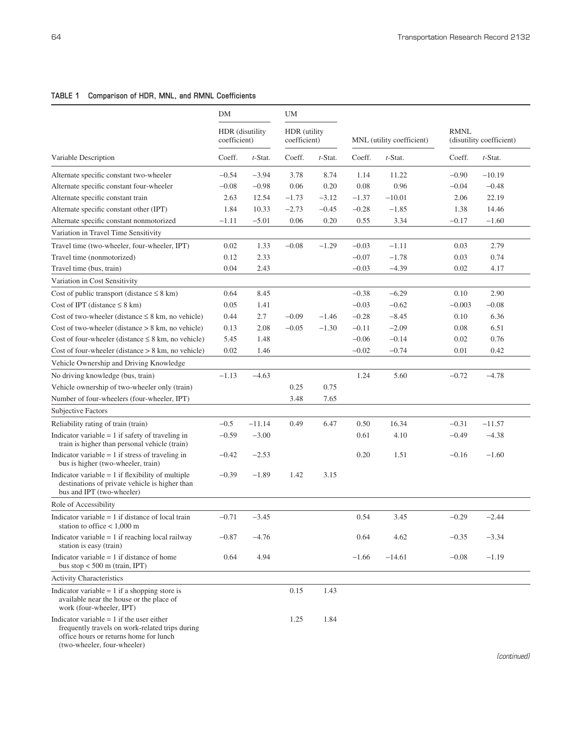# **TABLE 1 Comparison of HDR, MNL, and RMNL Coefficients**

|                                                                                                                                                                         | DM                              |            | UM                           |         |                           |          |          |                          |
|-------------------------------------------------------------------------------------------------------------------------------------------------------------------------|---------------------------------|------------|------------------------------|---------|---------------------------|----------|----------|--------------------------|
|                                                                                                                                                                         | HDR (disutility<br>coefficient) |            | HDR (utility<br>coefficient) |         | MNL (utility coefficient) |          | RMNL     | (disutility coefficient) |
| Variable Description                                                                                                                                                    | Coeff.                          | $t$ -Stat. | Coeff.                       | t-Stat. | Coeff.                    | t-Stat.  | Coeff.   | t-Stat.                  |
| Alternate specific constant two-wheeler                                                                                                                                 | $-0.54$                         | $-3.94$    | 3.78                         | 8.74    | 1.14                      | 11.22    | $-0.90$  | $-10.19$                 |
| Alternate specific constant four-wheeler                                                                                                                                | $-0.08$                         | $-0.98$    | 0.06                         | 0.20    | 0.08                      | 0.96     | $-0.04$  | $-0.48$                  |
| Alternate specific constant train                                                                                                                                       | 2.63                            | 12.54      | $-1.73$                      | $-3.12$ | $-1.37$                   | $-10.01$ | 2.06     | 22.19                    |
| Alternate specific constant other (IPT)                                                                                                                                 | 1.84                            | 10.33      | $-2.73$                      | $-0.45$ | $-0.28$                   | $-1.85$  | 1.38     | 14.46                    |
| Alternate specific constant nonmotorized                                                                                                                                | $-1.11$                         | $-5.01$    | 0.06                         | 0.20    | 0.55                      | 3.34     | $-0.17$  | $-1.60$                  |
| Variation in Travel Time Sensitivity                                                                                                                                    |                                 |            |                              |         |                           |          |          |                          |
| Travel time (two-wheeler, four-wheeler, IPT)                                                                                                                            | 0.02                            | 1.33       | $-0.08$                      | $-1.29$ | $-0.03$                   | $-1.11$  | 0.03     | 2.79                     |
| Travel time (nonmotorized)                                                                                                                                              | 0.12                            | 2.33       |                              |         | $-0.07$                   | $-1.78$  | 0.03     | 0.74                     |
| Travel time (bus, train)                                                                                                                                                | 0.04                            | 2.43       |                              |         | $-0.03$                   | $-4.39$  | 0.02     | 4.17                     |
| Variation in Cost Sensitivity                                                                                                                                           |                                 |            |                              |         |                           |          |          |                          |
| Cost of public transport (distance $\leq 8$ km)                                                                                                                         | 0.64                            | 8.45       |                              |         | $-0.38$                   | $-6.29$  | 0.10     | 2.90                     |
| Cost of IPT (distance $\leq 8$ km)                                                                                                                                      | 0.05                            | 1.41       |                              |         | $-0.03$                   | $-0.62$  | $-0.003$ | $-0.08$                  |
| Cost of two-wheeler (distance $\leq 8$ km, no vehicle)                                                                                                                  | 0.44                            | 2.7        | $-0.09$                      | $-1.46$ | $-0.28$                   | $-8.45$  | 0.10     | 6.36                     |
| Cost of two-wheeler (distance $> 8$ km, no vehicle)                                                                                                                     | 0.13                            | 2.08       | $-0.05$                      | $-1.30$ | $-0.11$                   | $-2.09$  | 0.08     | 6.51                     |
| Cost of four-wheeler (distance $\leq 8$ km, no vehicle)                                                                                                                 | 5.45                            | 1.48       |                              |         | $-0.06$                   | $-0.14$  | 0.02     | 0.76                     |
| Cost of four-wheeler (distance $> 8$ km, no vehicle)                                                                                                                    | 0.02                            | 1.46       |                              |         | $-0.02$                   | $-0.74$  | 0.01     | 0.42                     |
| Vehicle Ownership and Driving Knowledge                                                                                                                                 |                                 |            |                              |         |                           |          |          |                          |
| No driving knowledge (bus, train)                                                                                                                                       | $-1.13$                         | $-4.63$    |                              |         | 1.24                      | 5.60     | $-0.72$  | $-4.78$                  |
| Vehicle ownership of two-wheeler only (train)                                                                                                                           |                                 |            | 0.25                         | 0.75    |                           |          |          |                          |
| Number of four-wheelers (four-wheeler, IPT)                                                                                                                             |                                 |            | 3.48                         | 7.65    |                           |          |          |                          |
| Subjective Factors                                                                                                                                                      |                                 |            |                              |         |                           |          |          |                          |
| Reliability rating of train (train)                                                                                                                                     | $-0.5$                          | $-11.14$   | 0.49                         | 6.47    | 0.50                      | 16.34    | $-0.31$  | $-11.57$                 |
| Indicator variable $= 1$ if safety of traveling in<br>train is higher than personal vehicle (train)                                                                     | $-0.59$                         | $-3.00$    |                              |         | 0.61                      | 4.10     | $-0.49$  | $-4.38$                  |
| Indicator variable $= 1$ if stress of traveling in<br>bus is higher (two-wheeler, train)                                                                                | $-0.42$                         | $-2.53$    |                              |         | 0.20                      | 1.51     | $-0.16$  | $-1.60$                  |
| Indicator variable $= 1$ if flexibility of multiple<br>destinations of private vehicle is higher than<br>bus and IPT (two-wheeler)                                      | $-0.39$                         | $-1.89$    | 1.42                         | 3.15    |                           |          |          |                          |
| Role of Accessibility                                                                                                                                                   |                                 |            |                              |         |                           |          |          |                          |
| Indicator variable $= 1$ if distance of local train<br>station to office $< 1,000$ m                                                                                    | $-0.71$                         | $-3.45$    |                              |         | 0.54                      | 3.45     | $-0.29$  | $-2.44$                  |
| Indicator variable $= 1$ if reaching local railway<br>station is easy (train)                                                                                           | $-0.87$                         | $-4.76$    |                              |         | 0.64                      | 4.62     | $-0.35$  | $-3.34$                  |
| Indicator variable $= 1$ if distance of home<br>bus stop $<$ 500 m (train, IPT)                                                                                         | 0.64                            | 4.94       |                              |         | $-1.66$                   | $-14.61$ | $-0.08$  | $-1.19$                  |
| <b>Activity Characteristics</b>                                                                                                                                         |                                 |            |                              |         |                           |          |          |                          |
| Indicator variable $= 1$ if a shopping store is<br>available near the house or the place of<br>work (four-wheeler, IPT)                                                 |                                 |            | 0.15                         | 1.43    |                           |          |          |                          |
| Indicator variable $= 1$ if the user either<br>frequently travels on work-related trips during<br>office hours or returns home for lunch<br>(two-wheeler, four-wheeler) |                                 |            | 1.25                         | 1.84    |                           |          |          |                          |

*(continued)*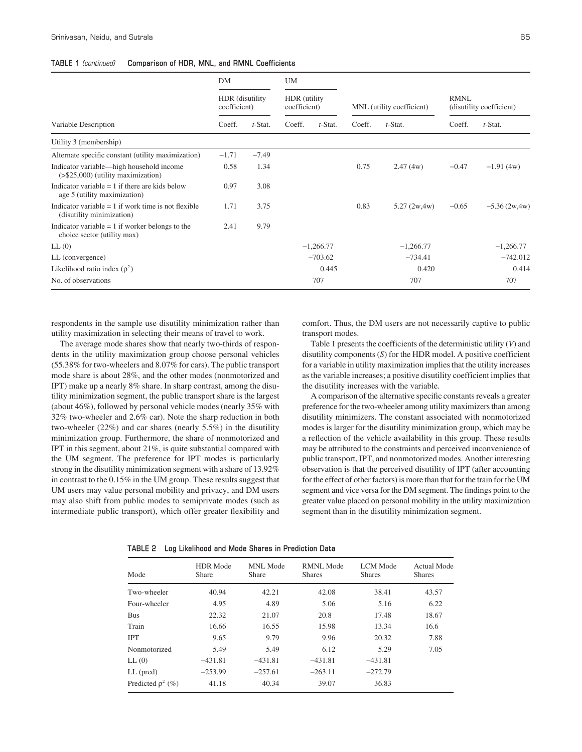| <b>TABLE 1</b> (continued) | Comparison of HDR, MNL, and RMNL Coefficients |  |  |  |  |
|----------------------------|-----------------------------------------------|--|--|--|--|
|----------------------------|-----------------------------------------------|--|--|--|--|

|                                                                                    | DM                               |            | UM                           |             |                           |              |                                         |                |
|------------------------------------------------------------------------------------|----------------------------------|------------|------------------------------|-------------|---------------------------|--------------|-----------------------------------------|----------------|
|                                                                                    | HDR (disutility)<br>coefficient) |            | HDR (utility<br>coefficient) |             | MNL (utility coefficient) |              | <b>RMNL</b><br>(disutility coefficient) |                |
| Variable Description                                                               | Coeff.                           | $t$ -Stat. | Coeff.                       | t-Stat.     | Coeff.                    | $t$ -Stat.   | Coeff.                                  | t-Stat.        |
| Utility 3 (membership)                                                             |                                  |            |                              |             |                           |              |                                         |                |
| Alternate specific constant (utility maximization)                                 | $-1.71$                          | $-7.49$    |                              |             |                           |              |                                         |                |
| Indicator variable—high household income<br>$($ >\$25,000) (utility maximization)  | 0.58                             | 1.34       |                              |             | 0.75                      | 2.47(4w)     | $-0.47$                                 | $-1.91(4w)$    |
| Indicator variable $= 1$ if there are kids below<br>age 5 (utility maximization)   | 0.97                             | 3.08       |                              |             |                           |              |                                         |                |
| Indicator variable $= 1$ if work time is not flexible<br>(disutility minimization) | 1.71                             | 3.75       |                              |             | 0.83                      | 5.27(2w, 4w) | $-0.65$                                 | $-5.36(2w,4w)$ |
| Indicator variable $= 1$ if worker belongs to the<br>choice sector (utility max)   | 2.41                             | 9.79       |                              |             |                           |              |                                         |                |
| LL(0)                                                                              |                                  |            |                              | $-1,266.77$ |                           | $-1,266.77$  |                                         | $-1,266.77$    |
| LL (convergence)                                                                   |                                  |            |                              | $-703.62$   |                           | $-734.41$    |                                         | $-742.012$     |
| Likelihood ratio index $(\rho^2)$                                                  |                                  |            |                              | 0.445       |                           | 0.420        |                                         | 0.414          |
| No. of observations                                                                |                                  |            |                              | 707         |                           | 707          |                                         | 707            |

respondents in the sample use disutility minimization rather than utility maximization in selecting their means of travel to work.

The average mode shares show that nearly two-thirds of respondents in the utility maximization group choose personal vehicles (55.38% for two-wheelers and 8.07% for cars). The public transport mode share is about 28%, and the other modes (nonmotorized and IPT) make up a nearly 8% share. In sharp contrast, among the disutility minimization segment, the public transport share is the largest (about 46%), followed by personal vehicle modes (nearly 35% with 32% two-wheeler and 2.6% car). Note the sharp reduction in both two-wheeler (22%) and car shares (nearly 5.5%) in the disutility minimization group. Furthermore, the share of nonmotorized and IPT in this segment, about 21%, is quite substantial compared with the UM segment. The preference for IPT modes is particularly strong in the disutility minimization segment with a share of 13.92% in contrast to the 0.15% in the UM group. These results suggest that UM users may value personal mobility and privacy, and DM users may also shift from public modes to semiprivate modes (such as intermediate public transport), which offer greater flexibility and comfort. Thus, the DM users are not necessarily captive to public transport modes.

Table 1 presents the coefficients of the deterministic utility (*V*) and disutility components (*S*) for the HDR model. A positive coefficient for a variable in utility maximization implies that the utility increases as the variable increases; a positive disutility coefficient implies that the disutility increases with the variable.

A comparison of the alternative specific constants reveals a greater preference for the two-wheeler among utility maximizers than among disutility minimizers. The constant associated with nonmotorized modes is larger for the disutility minimization group, which may be a reflection of the vehicle availability in this group. These results may be attributed to the constraints and perceived inconvenience of public transport, IPT, and nonmotorized modes. Another interesting observation is that the perceived disutility of IPT (after accounting for the effect of other factors) is more than that for the train for the UM segment and vice versa for the DM segment. The findings point to the greater value placed on personal mobility in the utility maximization segment than in the disutility minimization segment.

| Mode                   | <b>HDR</b> Mode<br>Share | <b>MNL</b> Mode<br><b>Share</b> | <b>RMNL Mode</b><br><b>Shares</b> | LCM Mode<br><b>Shares</b> | <b>Actual Mode</b><br><b>Shares</b> |
|------------------------|--------------------------|---------------------------------|-----------------------------------|---------------------------|-------------------------------------|
| Two-wheeler            | 40.94                    | 42.21                           | 42.08                             | 38.41                     | 43.57                               |
| Four-wheeler           | 4.95                     | 4.89                            | 5.06                              | 5.16                      | 6.22                                |
| <b>Bus</b>             | 22.32                    | 21.07                           | 20.8                              | 17.48                     | 18.67                               |
| Train                  | 16.66                    | 16.55                           | 15.98                             | 13.34                     | 16.6                                |
| <b>IPT</b>             | 9.65                     | 9.79                            | 9.96                              | 20.32                     | 7.88                                |
| Nonmotorized           | 5.49                     | 5.49                            | 6.12                              | 5.29                      | 7.05                                |
| LL(0)                  | $-431.81$                | $-431.81$                       | $-431.81$                         | $-431.81$                 |                                     |
| $LL$ (pred)            | $-253.99$                | $-257.61$                       | $-263.11$                         | $-272.79$                 |                                     |
| Predicted $\rho^2$ (%) | 41.18                    | 40.34                           | 39.07                             | 36.83                     |                                     |

**TABLE 2 Log Likelihood and Mode Shares in Prediction Data**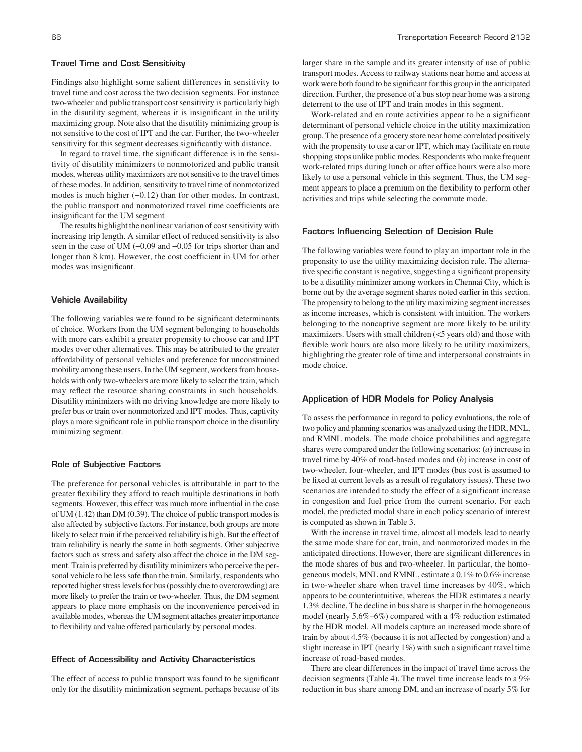Findings also highlight some salient differences in sensitivity to travel time and cost across the two decision segments. For instance two-wheeler and public transport cost sensitivity is particularly high in the disutility segment, whereas it is insignificant in the utility maximizing group. Note also that the disutility minimizing group is not sensitive to the cost of IPT and the car. Further, the two-wheeler sensitivity for this segment decreases significantly with distance.

In regard to travel time, the significant difference is in the sensitivity of disutility minimizers to nonmotorized and public transit modes, whereas utility maximizers are not sensitive to the travel times of these modes. In addition, sensitivity to travel time of nonmotorized modes is much higher (−0.12) than for other modes. In contrast, the public transport and nonmotorized travel time coefficients are insignificant for the UM segment

The results highlight the nonlinear variation of cost sensitivity with increasing trip length. A similar effect of reduced sensitivity is also seen in the case of UM (-0.09 and -0.05 for trips shorter than and longer than 8 km). However, the cost coefficient in UM for other modes was insignificant.

#### Vehicle Availability

The following variables were found to be significant determinants of choice. Workers from the UM segment belonging to households with more cars exhibit a greater propensity to choose car and IPT modes over other alternatives. This may be attributed to the greater affordability of personal vehicles and preference for unconstrained mobility among these users. In the UM segment, workers from households with only two-wheelers are more likely to select the train, which may reflect the resource sharing constraints in such households. Disutility minimizers with no driving knowledge are more likely to prefer bus or train over nonmotorized and IPT modes. Thus, captivity plays a more significant role in public transport choice in the disutility minimizing segment.

#### Role of Subjective Factors

The preference for personal vehicles is attributable in part to the greater flexibility they afford to reach multiple destinations in both segments. However, this effect was much more influential in the case of UM (1.42) than DM (0.39). The choice of public transport modes is also affected by subjective factors. For instance, both groups are more likely to select train if the perceived reliability is high. But the effect of train reliability is nearly the same in both segments. Other subjective factors such as stress and safety also affect the choice in the DM segment. Train is preferred by disutility minimizers who perceive the personal vehicle to be less safe than the train. Similarly, respondents who reported higher stress levels for bus (possibly due to overcrowding) are more likely to prefer the train or two-wheeler. Thus, the DM segment appears to place more emphasis on the inconvenience perceived in available modes, whereas the UM segment attaches greater importance to flexibility and value offered particularly by personal modes.

## Effect of Accessibility and Activity Characteristics

The effect of access to public transport was found to be significant only for the disutility minimization segment, perhaps because of its larger share in the sample and its greater intensity of use of public transport modes. Access to railway stations near home and access at work were both found to be significant for this group in the anticipated direction. Further, the presence of a bus stop near home was a strong deterrent to the use of IPT and train modes in this segment.

Work-related and en route activities appear to be a significant determinant of personal vehicle choice in the utility maximization group. The presence of a grocery store near home correlated positively with the propensity to use a car or IPT, which may facilitate en route shopping stops unlike public modes. Respondents who make frequent work-related trips during lunch or after office hours were also more likely to use a personal vehicle in this segment. Thus, the UM segment appears to place a premium on the flexibility to perform other activities and trips while selecting the commute mode.

## Factors Influencing Selection of Decision Rule

The following variables were found to play an important role in the propensity to use the utility maximizing decision rule. The alternative specific constant is negative, suggesting a significant propensity to be a disutility minimizer among workers in Chennai City, which is borne out by the average segment shares noted earlier in this section. The propensity to belong to the utility maximizing segment increases as income increases, which is consistent with intuition. The workers belonging to the noncaptive segment are more likely to be utility maximizers. Users with small children (<5 years old) and those with flexible work hours are also more likely to be utility maximizers, highlighting the greater role of time and interpersonal constraints in mode choice.

#### Application of HDR Models for Policy Analysis

To assess the performance in regard to policy evaluations, the role of two policy and planning scenarios was analyzed using the HDR, MNL, and RMNL models. The mode choice probabilities and aggregate shares were compared under the following scenarios: (*a*) increase in travel time by 40% of road-based modes and (*b*) increase in cost of two-wheeler, four-wheeler, and IPT modes (bus cost is assumed to be fixed at current levels as a result of regulatory issues). These two scenarios are intended to study the effect of a significant increase in congestion and fuel price from the current scenario. For each model, the predicted modal share in each policy scenario of interest is computed as shown in Table 3.

With the increase in travel time, almost all models lead to nearly the same mode share for car, train, and nonmotorized modes in the anticipated directions. However, there are significant differences in the mode shares of bus and two-wheeler. In particular, the homogeneous models, MNL and RMNL, estimate a 0.1% to 0.6% increase in two-wheeler share when travel time increases by 40%, which appears to be counterintuitive, whereas the HDR estimates a nearly 1.3% decline. The decline in bus share is sharper in the homogeneous model (nearly 5.6%–6%) compared with a 4% reduction estimated by the HDR model. All models capture an increased mode share of train by about 4.5% (because it is not affected by congestion) and a slight increase in IPT (nearly 1%) with such a significant travel time increase of road-based modes.

There are clear differences in the impact of travel time across the decision segments (Table 4). The travel time increase leads to a 9% reduction in bus share among DM, and an increase of nearly 5% for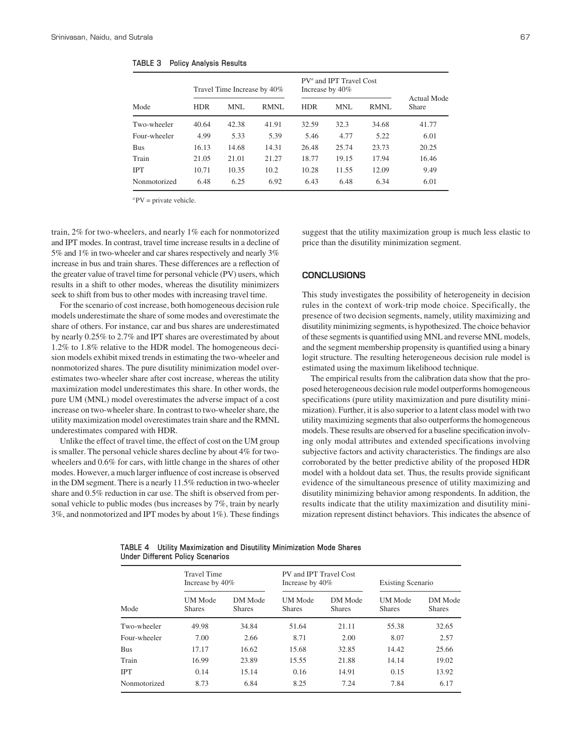| Mode         | Travel Time Increase by 40% |       |       | PV <sup>a</sup> and IPT Travel Cost<br>Increase by 40% |       |             |                             |
|--------------|-----------------------------|-------|-------|--------------------------------------------------------|-------|-------------|-----------------------------|
|              | <b>HDR</b>                  | MNL   | RMNL  | <b>HDR</b>                                             | MNL   | <b>RMNL</b> | <b>Actual Mode</b><br>Share |
| Two-wheeler  | 40.64                       | 42.38 | 41.91 | 32.59                                                  | 32.3  | 34.68       | 41.77                       |
| Four-wheeler | 4.99                        | 5.33  | 5.39  | 5.46                                                   | 4.77  | 5.22        | 6.01                        |
| Bus          | 16.13                       | 14.68 | 14.31 | 26.48                                                  | 25.74 | 23.73       | 20.25                       |
| Train        | 21.05                       | 21.01 | 21.27 | 18.77                                                  | 19.15 | 17.94       | 16.46                       |
| <b>IPT</b>   | 10.71                       | 10.35 | 10.2  | 10.28                                                  | 11.55 | 12.09       | 9.49                        |
| Nonmotorized | 6.48                        | 6.25  | 6.92  | 6.43                                                   | 6.48  | 6.34        | 6.01                        |
|              |                             |       |       |                                                        |       |             |                             |

**TABLE 3 Policy Analysis Results**

 ${}^a$ PV = private vehicle.

train, 2% for two-wheelers, and nearly 1% each for nonmotorized and IPT modes. In contrast, travel time increase results in a decline of 5% and 1% in two-wheeler and car shares respectively and nearly 3% increase in bus and train shares. These differences are a reflection of the greater value of travel time for personal vehicle (PV) users, which results in a shift to other modes, whereas the disutility minimizers seek to shift from bus to other modes with increasing travel time.

For the scenario of cost increase, both homogeneous decision rule models underestimate the share of some modes and overestimate the share of others. For instance, car and bus shares are underestimated by nearly 0.25% to 2.7% and IPT shares are overestimated by about 1.2% to 1.8% relative to the HDR model. The homogeneous decision models exhibit mixed trends in estimating the two-wheeler and nonmotorized shares. The pure disutility minimization model overestimates two-wheeler share after cost increase, whereas the utility maximization model underestimates this share. In other words, the pure UM (MNL) model overestimates the adverse impact of a cost increase on two-wheeler share. In contrast to two-wheeler share, the utility maximization model overestimates train share and the RMNL underestimates compared with HDR.

Unlike the effect of travel time, the effect of cost on the UM group is smaller. The personal vehicle shares decline by about 4% for twowheelers and 0.6% for cars, with little change in the shares of other modes. However, a much larger influence of cost increase is observed in the DM segment. There is a nearly 11.5% reduction in two-wheeler share and 0.5% reduction in car use. The shift is observed from personal vehicle to public modes (bus increases by 7%, train by nearly 3%, and nonmotorized and IPT modes by about 1%). These findings suggest that the utility maximization group is much less elastic to price than the disutility minimization segment.

## **CONCLUSIONS**

This study investigates the possibility of heterogeneity in decision rules in the context of work-trip mode choice. Specifically, the presence of two decision segments, namely, utility maximizing and disutility minimizing segments, is hypothesized. The choice behavior of these segments is quantified using MNL and reverse MNL models, and the segment membership propensity is quantified using a binary logit structure. The resulting heterogeneous decision rule model is estimated using the maximum likelihood technique.

The empirical results from the calibration data show that the proposed heterogeneous decision rule model outperforms homogeneous specifications (pure utility maximization and pure disutility minimization). Further, it is also superior to a latent class model with two utility maximizing segments that also outperforms the homogeneous models. These results are observed for a baseline specification involving only modal attributes and extended specifications involving subjective factors and activity characteristics. The findings are also corroborated by the better predictive ability of the proposed HDR model with a holdout data set. Thus, the results provide significant evidence of the simultaneous presence of utility maximizing and disutility minimizing behavior among respondents. In addition, the results indicate that the utility maximization and disutility minimization represent distinct behaviors. This indicates the absence of

**TABLE 4 Utility Maximization and Disutility Minimization Mode Shares Under Different Policy Scenarios**

| Mode         | <b>Travel Time</b><br>Increase by 40% |                          | PV and IPT Travel Cost<br>Increase by 40% |                          | <b>Existing Scenario</b>        |                          |  |
|--------------|---------------------------------------|--------------------------|-------------------------------------------|--------------------------|---------------------------------|--------------------------|--|
|              | <b>UM</b> Mode<br><b>Shares</b>       | DM Mode<br><b>Shares</b> | <b>UM</b> Mode<br><b>Shares</b>           | DM Mode<br><b>Shares</b> | <b>UM</b> Mode<br><b>Shares</b> | DM Mode<br><b>Shares</b> |  |
| Two-wheeler  | 49.98                                 | 34.84                    | 51.64                                     | 21.11                    | 55.38                           | 32.65                    |  |
| Four-wheeler | 7.00                                  | 2.66                     | 8.71                                      | 2.00                     | 8.07                            | 2.57                     |  |
| <b>Bus</b>   | 17.17                                 | 16.62                    | 15.68                                     | 32.85                    | 14.42                           | 25.66                    |  |
| Train        | 16.99                                 | 23.89                    | 15.55                                     | 21.88                    | 14.14                           | 19.02                    |  |
| <b>IPT</b>   | 0.14                                  | 15.14                    | 0.16                                      | 14.91                    | 0.15                            | 13.92                    |  |
| Nonmotorized | 8.73                                  | 6.84                     | 8.25                                      | 7.24                     | 7.84                            | 6.17                     |  |